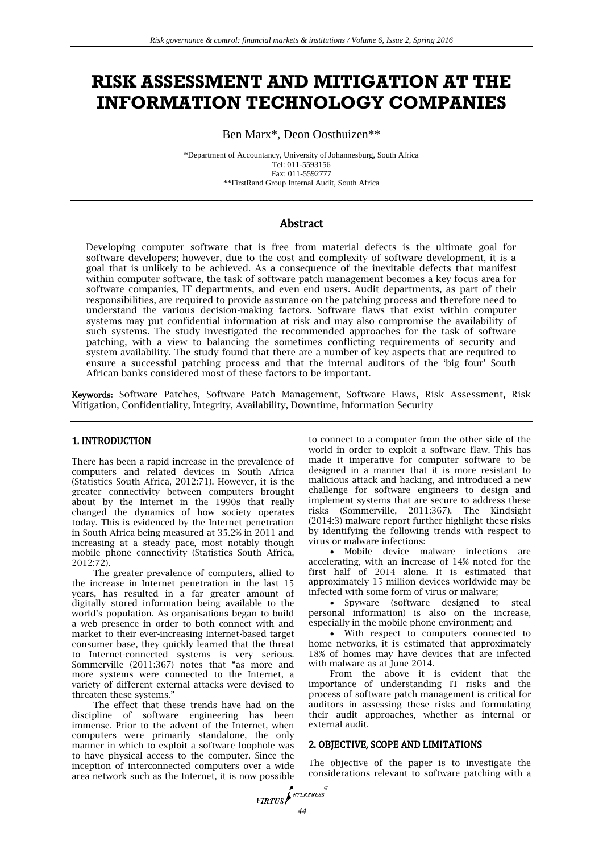# **RISK ASSESSMENT AND MITIGATION AT THE INFORMATION TECHNOLOGY COMPANIES**

Ben Marx\*, Deon Oosthuizen\*\*

\*Department of Accountancy, University of Johannesburg, South Africa Tel: 011-5593156 Fax: 011-5592777 \*\*FirstRand Group Internal Audit, South Africa

# Abstract

Developing computer software that is free from material defects is the ultimate goal for software developers; however, due to the cost and complexity of software development, it is a goal that is unlikely to be achieved. As a consequence of the inevitable defects that manifest within computer software, the task of software patch management becomes a key focus area for software companies, IT departments, and even end users. Audit departments, as part of their responsibilities, are required to provide assurance on the patching process and therefore need to understand the various decision-making factors. Software flaws that exist within computer systems may put confidential information at risk and may also compromise the availability of such systems. The study investigated the recommended approaches for the task of software patching, with a view to balancing the sometimes conflicting requirements of security and system availability. The study found that there are a number of key aspects that are required to ensure a successful patching process and that the internal auditors of the 'big four' South African banks considered most of these factors to be important.

Keywords: Software Patches, Software Patch Management, Software Flaws, Risk Assessment, Risk Mitigation, Confidentiality, Integrity, Availability, Downtime, Information Security

## 1. INTRODUCTION

There has been a rapid increase in the prevalence of computers and related devices in South Africa (Statistics South Africa, 2012:71). However, it is the greater connectivity between computers brought about by the Internet in the 1990s that really changed the dynamics of how society operates today. This is evidenced by the Internet penetration in South Africa being measured at 35.2% in 2011 and increasing at a steady pace, most notably though mobile phone connectivity (Statistics South Africa, 2012:72).

The greater prevalence of computers, allied to the increase in Internet penetration in the last 15 years, has resulted in a far greater amount of digitally stored information being available to the world's population. As organisations began to build a web presence in order to both connect with and market to their ever-increasing Internet-based target consumer base, they quickly learned that the threat to Internet-connected systems is very serious. Sommerville (2011:367) notes that "as more and more systems were connected to the Internet, a variety of different external attacks were devised to threaten these systems."

The effect that these trends have had on the discipline of software engineering has been immense. Prior to the advent of the Internet, when computers were primarily standalone, the only manner in which to exploit a software loophole was to have physical access to the computer. Since the inception of interconnected computers over a wide area network such as the Internet, it is now possible

to connect to a computer from the other side of the world in order to exploit a software flaw. This has made it imperative for computer software to be designed in a manner that it is more resistant to malicious attack and hacking, and introduced a new challenge for software engineers to design and implement systems that are secure to address these risks (Sommerville, 2011:367). The Kindsight (2014:3) malware report further highlight these risks by identifying the following trends with respect to virus or malware infections:

 Mobile device malware infections are accelerating, with an increase of 14% noted for the first half of 2014 alone. It is estimated that approximately 15 million devices worldwide may be infected with some form of virus or malware;

 Spyware (software designed to steal personal information) is also on the increase, especially in the mobile phone environment; and

 With respect to computers connected to home networks, it is estimated that approximately 18% of homes may have devices that are infected with malware as at June 2014.

From the above it is evident that the importance of understanding IT risks and the process of software patch management is critical for auditors in assessing these risks and formulating their audit approaches, whether as internal or external audit.

## 2. OBJECTIVE, SCOPE AND LIMITATIONS

The objective of the paper is to investigate the considerations relevant to software patching with a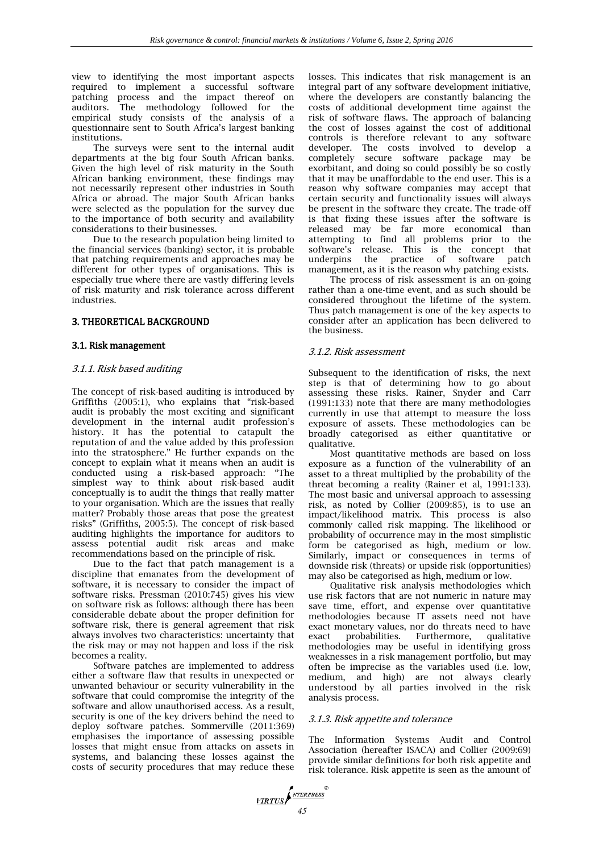view to identifying the most important aspects required to implement a successful software patching process and the impact thereof on auditors. The methodology followed for the empirical study consists of the analysis of a questionnaire sent to South Africa's largest banking institutions.

The surveys were sent to the internal audit departments at the big four South African banks. Given the high level of risk maturity in the South African banking environment, these findings may not necessarily represent other industries in South Africa or abroad. The major South African banks were selected as the population for the survey due to the importance of both security and availability considerations to their businesses.

Due to the research population being limited to the financial services (banking) sector, it is probable that patching requirements and approaches may be different for other types of organisations. This is especially true where there are vastly differing levels of risk maturity and risk tolerance across different industries.

## 3. THEORETICAL BACKGROUND

#### 3.1. Risk management

#### 3.1.1. Risk based auditing

The concept of risk-based auditing is introduced by Griffiths (2005:1), who explains that "risk-based audit is probably the most exciting and significant development in the internal audit profession's history. It has the potential to catapult the reputation of and the value added by this profession into the stratosphere." He further expands on the concept to explain what it means when an audit is conducted using a risk-based approach: "The simplest way to think about risk-based audit conceptually is to audit the things that really matter to your organisation. Which are the issues that really matter? Probably those areas that pose the greatest risks" (Griffiths, 2005:5). The concept of risk-based auditing highlights the importance for auditors to assess potential audit risk areas and make recommendations based on the principle of risk.

Due to the fact that patch management is a discipline that emanates from the development of software, it is necessary to consider the impact of software risks. Pressman (2010:745) gives his view on software risk as follows: although there has been considerable debate about the proper definition for software risk, there is general agreement that risk always involves two characteristics: uncertainty that the risk may or may not happen and loss if the risk becomes a reality.

Software patches are implemented to address either a software flaw that results in unexpected or unwanted behaviour or security vulnerability in the software that could compromise the integrity of the software and allow unauthorised access. As a result, security is one of the key drivers behind the need to deploy software patches. Sommerville (2011:369) emphasises the importance of assessing possible losses that might ensue from attacks on assets in systems, and balancing these losses against the costs of security procedures that may reduce these

losses. This indicates that risk management is an integral part of any software development initiative, where the developers are constantly balancing the costs of additional development time against the risk of software flaws. The approach of balancing the cost of losses against the cost of additional controls is therefore relevant to any software developer. The costs involved to develop a completely secure software package may be exorbitant, and doing so could possibly be so costly that it may be unaffordable to the end user. This is a reason why software companies may accept that certain security and functionality issues will always be present in the software they create. The trade-off is that fixing these issues after the software is released may be far more economical than attempting to find all problems prior to the software's release. This is the concept that underpins the practice of software patch management, as it is the reason why patching exists.

The process of risk assessment is an on-going rather than a one-time event, and as such should be considered throughout the lifetime of the system. Thus patch management is one of the key aspects to consider after an application has been delivered to the business.

#### 3.1.2. Risk assessment

Subsequent to the identification of risks, the next step is that of determining how to go about assessing these risks. Rainer, Snyder and Carr (1991:133) note that there are many methodologies currently in use that attempt to measure the loss exposure of assets. These methodologies can be broadly categorised as either quantitative or qualitative.

Most quantitative methods are based on loss exposure as a function of the vulnerability of an asset to a threat multiplied by the probability of the threat becoming a reality (Rainer et al, 1991:133). The most basic and universal approach to assessing risk, as noted by Collier (2009:85), is to use an impact/likelihood matrix. This process is also commonly called risk mapping. The likelihood or probability of occurrence may in the most simplistic form be categorised as high, medium or low. Similarly, impact or consequences in terms of downside risk (threats) or upside risk (opportunities) may also be categorised as high, medium or low.

Qualitative risk analysis methodologies which use risk factors that are not numeric in nature may save time, effort, and expense over quantitative methodologies because IT assets need not have exact monetary values, nor do threats need to have exact probabilities. Furthermore, qualitative methodologies may be useful in identifying gross weaknesses in a risk management portfolio, but may often be imprecise as the variables used (i.e. low, medium, and high) are not always clearly understood by all parties involved in the risk analysis process.

## 3.1.3. Risk appetite and tolerance

The Information Systems Audit and Control Association (hereafter ISACA) and Collier (2009:69) provide similar definitions for both risk appetite and risk tolerance. Risk appetite is seen as the amount of

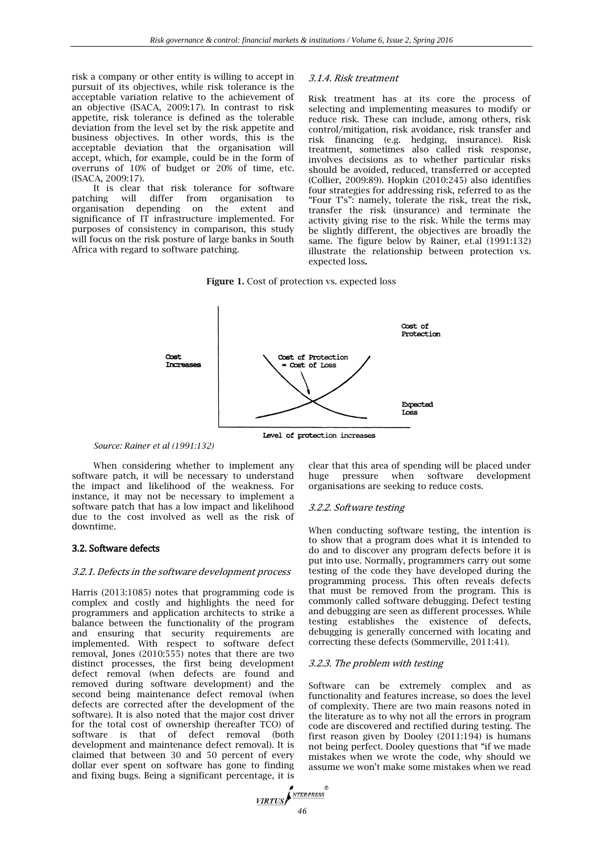risk a company or other entity is willing to accept in pursuit of its objectives, while risk tolerance is the acceptable variation relative to the achievement of an objective (ISACA, 2009:17). In contrast to risk appetite, risk tolerance is defined as the tolerable deviation from the level set by the risk appetite and business objectives. In other words, this is the acceptable deviation that the organisation will accept, which, for example, could be in the form of overruns of 10% of budget or 20% of time, etc. (ISACA, 2009:17).

It is clear that risk tolerance for software patching will differ from organisation to organisation depending on the extent and significance of IT infrastructure implemented. For purposes of consistency in comparison, this study will focus on the risk posture of large banks in South Africa with regard to software patching.

## 3.1.4. Risk treatment

Risk treatment has at its core the process of selecting and implementing measures to modify or reduce risk. These can include, among others, risk control/mitigation, risk avoidance, risk transfer and risk financing (e.g. hedging, insurance). Risk treatment, sometimes also called risk response, involves decisions as to whether particular risks should be avoided, reduced, transferred or accepted (Collier, 2009:89). Hopkin (2010:245) also identifies four strategies for addressing risk, referred to as the "Four T's": namely, tolerate the risk, treat the risk, transfer the risk (insurance) and terminate the activity giving rise to the risk. While the terms may be slightly different, the objectives are broadly the same. The figure below by Rainer, et.al (1991:132) illustrate the relationship between protection vs. expected loss**.**

**Figure 1.** Cost of protection vs. expected loss



*Source: Rainer et al (1991:132)*

When considering whether to implement any software patch, it will be necessary to understand the impact and likelihood of the weakness. For instance, it may not be necessary to implement a software patch that has a low impact and likelihood due to the cost involved as well as the risk of downtime.

## 3.2. Software defects

#### 3.2.1. Defects in the software development process

Harris (2013:1085) notes that programming code is complex and costly and highlights the need for programmers and application architects to strike a balance between the functionality of the program and ensuring that security requirements are implemented. With respect to software defect removal, Jones (2010:555) notes that there are two distinct processes, the first being development defect removal (when defects are found and removed during software development) and the second being maintenance defect removal (when defects are corrected after the development of the software). It is also noted that the major cost driver for the total cost of ownership (hereafter TCO) of software is that of defect removal (both development and maintenance defect removal). It is claimed that between 30 and 50 percent of every dollar ever spent on software has gone to finding and fixing bugs. Being a significant percentage, it is

clear that this area of spending will be placed under huge pressure when software development organisations are seeking to reduce costs.

#### 3.2.2. Software testing

When conducting software testing, the intention is to show that a program does what it is intended to do and to discover any program defects before it is put into use. Normally, programmers carry out some testing of the code they have developed during the programming process. This often reveals defects that must be removed from the program. This is commonly called software debugging. Defect testing and debugging are seen as different processes. While testing establishes the existence of defects, debugging is generally concerned with locating and correcting these defects (Sommerville, 2011:41).

## 3.2.3. The problem with testing

Software can be extremely complex and as functionality and features increase, so does the level of complexity. There are two main reasons noted in the literature as to why not all the errors in program code are discovered and rectified during testing. The first reason given by Dooley (2011:194) is humans not being perfect. Dooley questions that "if we made mistakes when we wrote the code, why should we assume we won't make some mistakes when we read

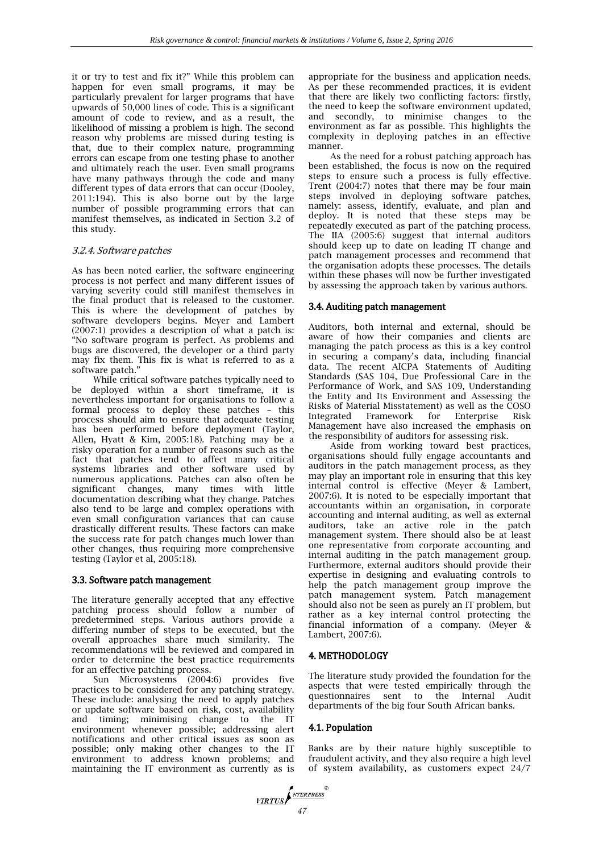it or try to test and fix it?" While this problem can happen for even small programs, it may be particularly prevalent for larger programs that have upwards of 50,000 lines of code. This is a significant amount of code to review, and as a result, the likelihood of missing a problem is high. The second reason why problems are missed during testing is that, due to their complex nature, programming errors can escape from one testing phase to another and ultimately reach the user. Even small programs have many pathways through the code and many different types of data errors that can occur (Dooley, 2011:194). This is also borne out by the large number of possible programming errors that can manifest themselves, as indicated in Section 3.2 of this study.

## 3.2.4. Software patches

As has been noted earlier, the software engineering process is not perfect and many different issues of varying severity could still manifest themselves in the final product that is released to the customer. This is where the development of patches by software developers begins. Meyer and Lambert (2007:1) provides a description of what a patch is: "No software program is perfect. As problems and bugs are discovered, the developer or a third party may fix them. This fix is what is referred to as a software patch.'

While critical software patches typically need to be deployed within a short timeframe, it is nevertheless important for organisations to follow a formal process to deploy these patches – this process should aim to ensure that adequate testing has been performed before deployment (Taylor, Allen, Hyatt & Kim, 2005:18). Patching may be a risky operation for a number of reasons such as the fact that patches tend to affect many critical systems libraries and other software used by numerous applications. Patches can also often be significant changes, many times with little documentation describing what they change. Patches also tend to be large and complex operations with even small configuration variances that can cause drastically different results. These factors can make the success rate for patch changes much lower than other changes, thus requiring more comprehensive testing (Taylor et al, 2005:18).

## 3.3. Software patch management

The literature generally accepted that any effective patching process should follow a number of predetermined steps. Various authors provide a differing number of steps to be executed, but the overall approaches share much similarity. The recommendations will be reviewed and compared in order to determine the best practice requirements for an effective patching process.

Sun Microsystems (2004:6) provides five practices to be considered for any patching strategy. These include: analysing the need to apply patches or update software based on risk, cost, availability and timing; minimising change to the IT environment whenever possible; addressing alert notifications and other critical issues as soon as possible; only making other changes to the IT environment to address known problems; and maintaining the IT environment as currently as is

appropriate for the business and application needs. As per these recommended practices, it is evident that there are likely two conflicting factors: firstly, the need to keep the software environment updated, and secondly, to minimise changes to the environment as far as possible. This highlights the complexity in deploying patches in an effective manner.

As the need for a robust patching approach has been established, the focus is now on the required steps to ensure such a process is fully effective. Trent (2004:7) notes that there may be four main steps involved in deploying software patches, namely: assess, identify, evaluate, and plan and deploy. It is noted that these steps may be repeatedly executed as part of the patching process. The IIA (2005:6) suggest that internal auditors should keep up to date on leading IT change and patch management processes and recommend that the organisation adopts these processes. The details within these phases will now be further investigated by assessing the approach taken by various authors.

## 3.4. Auditing patch management

Auditors, both internal and external, should be aware of how their companies and clients are managing the patch process as this is a key control in securing a company's data, including financial data. The recent AICPA Statements of Auditing Standards (SAS 104, Due Professional Care in the Performance of Work, and SAS 109, Understanding the Entity and Its Environment and Assessing the Risks of Material Misstatement) as well as the COSO Integrated Framework for Enterprise Risk Management have also increased the emphasis on the responsibility of auditors for assessing risk.

Aside from working toward best practices, organisations should fully engage accountants and auditors in the patch management process, as they may play an important role in ensuring that this key internal control is effective (Meyer & Lambert, 2007:6). It is noted to be especially important that accountants within an organisation, in corporate accounting and internal auditing, as well as external auditors, take an active role in the patch management system. There should also be at least one representative from corporate accounting and internal auditing in the patch management group. Furthermore, external auditors should provide their expertise in designing and evaluating controls to help the patch management group improve the patch management system. Patch management should also not be seen as purely an IT problem, but rather as a key internal control protecting the financial information of a company. (Meyer & Lambert, 2007:6).

# 4. METHODOLOGY

The literature study provided the foundation for the aspects that were tested empirically through the questionnaires sent to the Internal Audit questionnaires sent to the Internal departments of the big four South African banks.

## 4.1. Population

Banks are by their nature highly susceptible to fraudulent activity, and they also require a high level of system availability, as customers expect 24/7

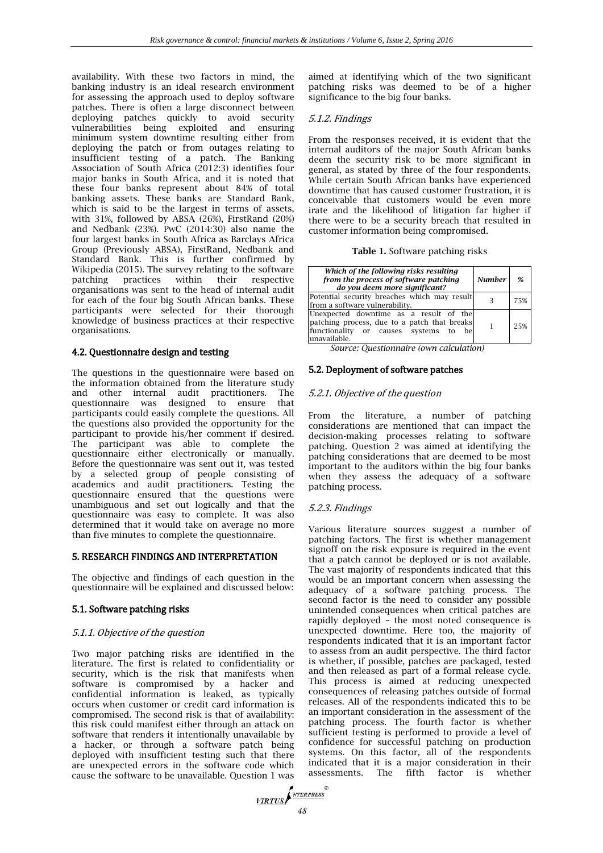availability. With these two factors in mind, the banking industry is an ideal research environment for assessing the approach used to deploy software patches. There is often a large disconnect between deploying patches quickly to avoid security vulnerabilities being exploited and ensuring minimum system downtime resulting either from deploying the patch or from outages relating to insufficient testing of a patch. The Banking Association of South Africa (2012:3) identifies four major banks in South Africa, and it is noted that these four banks represent about 84% of total banking assets. These banks are Standard Bank, which is said to be the largest in terms of assets, with 31%, followed by ABSA (26%), FirstRand (20%) and Nedbank (23%). PwC (2014:30) also name the four largest banks in South Africa as Barclays Africa Group (Previously ABSA), FirstRand, Nedbank and Standard Bank. This is further confirmed by Wikipedia (2015). The survey relating to the software patching practices within their respective organisations was sent to the head of internal audit for each of the four big South African banks. These participants were selected for their thorough knowledge of business practices at their respective organisations.

# 4.2. Questionnaire design and testing

The questions in the questionnaire were based on the information obtained from the literature study and other internal audit practitioners. The questionnaire was designed to ensure that participants could easily complete the questions. All the questions also provided the opportunity for the participant to provide his/her comment if desired. The participant was able to complete the questionnaire either electronically or manually. Before the questionnaire was sent out it, was tested by a selected group of people consisting of academics and audit practitioners. Testing the questionnaire ensured that the questions were unambiguous and set out logically and that the questionnaire was easy to complete. It was also determined that it would take on average no more than five minutes to complete the questionnaire.

# 5. RESEARCH FINDINGS AND INTERPRETATION

The objective and findings of each question in the questionnaire will be explained and discussed below:

# 5.1. Software patching risks

## 5.1.1. Objective of the question

Two major patching risks are identified in the literature. The first is related to confidentiality or security, which is the risk that manifests when software is compromised by a hacker and confidential information is leaked, as typically occurs when customer or credit card information is compromised. The second risk is that of availability: this risk could manifest either through an attack on software that renders it intentionally unavailable by a hacker, or through a software patch being deployed with insufficient testing such that there are unexpected errors in the software code which cause the software to be unavailable. Question 1 was

aimed at identifying which of the two significant patching risks was deemed to be of a higher significance to the big four banks.

# 5.1.2. Findings

From the responses received, it is evident that the internal auditors of the major South African banks deem the security risk to be more significant in general, as stated by three of the four respondents. While certain South African banks have experienced downtime that has caused customer frustration, it is conceivable that customers would be even more irate and the likelihood of litigation far higher if there were to be a security breach that resulted in customer information being compromised.

#### **Table 1.** Software patching risks

| Which of the following risks resulting<br>from the process of software patching<br>do you deem more significant?                                       | <b>Number</b> | %   |
|--------------------------------------------------------------------------------------------------------------------------------------------------------|---------------|-----|
| Potential security breaches which may result<br>from a software vulnerability.                                                                         |               | 75% |
| Unexpected downtime as a result of the<br>patching process, due to a patch that breaks<br>functionality or causes systems<br>to<br>hel<br>unavailable. |               | 25% |

*Source: Questionnaire (own calculation)*

## 5.2. Deployment of software patches

# 5.2.1. Objective of the question

From the literature, a number of patching considerations are mentioned that can impact the decision-making processes relating to software patching. Question 2 was aimed at identifying the patching considerations that are deemed to be most important to the auditors within the big four banks when they assess the adequacy of a software patching process.

## 5.2.3. Findings

Various literature sources suggest a number of patching factors. The first is whether management signoff on the risk exposure is required in the event that a patch cannot be deployed or is not available. The vast majority of respondents indicated that this would be an important concern when assessing the adequacy of a software patching process. The second factor is the need to consider any possible unintended consequences when critical patches are rapidly deployed – the most noted consequence is unexpected downtime. Here too, the majority of respondents indicated that it is an important factor to assess from an audit perspective. The third factor is whether, if possible, patches are packaged, tested and then released as part of a formal release cycle. This process is aimed at reducing unexpected consequences of releasing patches outside of formal releases. All of the respondents indicated this to be an important consideration in the assessment of the patching process. The fourth factor is whether sufficient testing is performed to provide a level of confidence for successful patching on production systems. On this factor, all of the respondents indicated that it is a major consideration in their assessments. The fifth factor is whether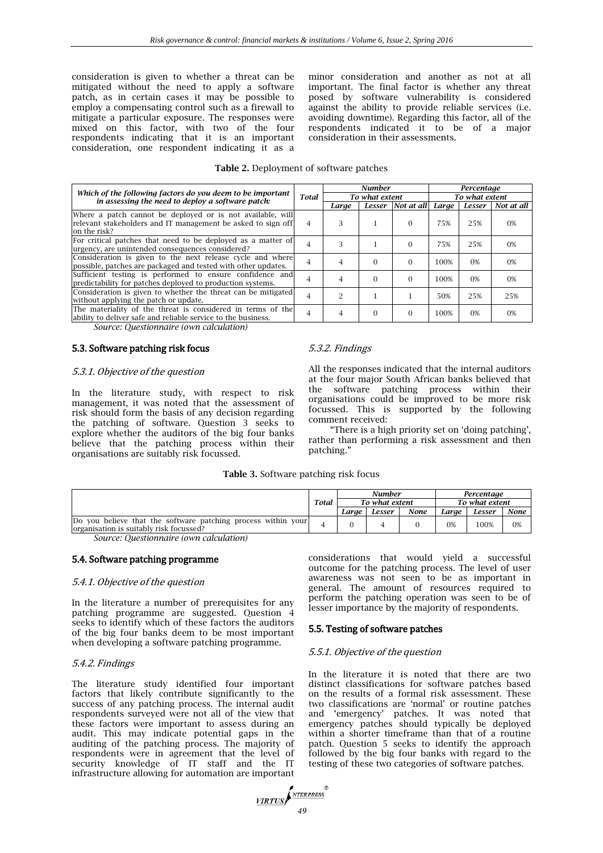consideration is given to whether a threat can be mitigated without the need to apply a software patch, as in certain cases it may be possible to employ a compensating control such as a firewall to mitigate a particular exposure. The responses were mixed on this factor, with two of the four respondents indicating that it is an important consideration, one respondent indicating it as a

minor consideration and another as not at all important. The final factor is whether any threat posed by software vulnerability is considered against the ability to provide reliable services (i.e. avoiding downtime). Regarding this factor, all of the respondents indicated it to be of a major consideration in their assessments.

| Table 2. Deployment of software patches |  |  |
|-----------------------------------------|--|--|
|-----------------------------------------|--|--|

|                                                                                                                                            |                | <b>Number</b>  |                |                   | Percentage |                |            |  |
|--------------------------------------------------------------------------------------------------------------------------------------------|----------------|----------------|----------------|-------------------|------------|----------------|------------|--|
| Which of the following factors do you deem to be important<br>in assessing the need to deploy a software patch:                            | <b>Total</b>   |                | To what extent |                   |            | To what extent |            |  |
|                                                                                                                                            |                | Large          |                | Lesser Not at all | Large      | Lesser         | Not at all |  |
| Where a patch cannot be deployed or is not available, will<br>relevant stakeholders and IT management be asked to sign off<br>on the risk? | $\overline{4}$ | 3              |                | $\Omega$          | 75%        | 25%            | $0\%$      |  |
| For critical patches that need to be deployed as a matter of<br>urgency, are unintended consequences considered?                           | $\overline{4}$ |                |                | $\Omega$          | 75%        | 25%            | 0%         |  |
| Consideration is given to the next release cycle and where<br>possible, patches are packaged and tested with other updates.                | $\overline{4}$ | 4              | $\Omega$       | $\Omega$          | 100%       | $0\%$          | $0\%$      |  |
| Sufficient testing is performed to ensure confidence and<br>predictability for patches deployed to production systems.                     | 4              | $\overline{4}$ | $\Omega$       | $\Omega$          | 100%       | 0%             | $0\%$      |  |
| Consideration is given to whether the threat can be mitigated<br>without applying the patch or update.                                     | $\overline{4}$ | $\mathcal{P}$  |                |                   | 50%        | 25%            | 25%        |  |
| The materiality of the threat is considered in terms of the<br>ability to deliver safe and reliable service to the business.               | 4              | 4              | $\Omega$       | $\Omega$          | 100%       | $0\%$          | 0%         |  |
| Course Questionnaire (our estaulation)                                                                                                     |                |                |                |                   |            |                |            |  |

*Source: Questionnaire (own calculation)*

#### 5.3. Software patching risk focus

## 5.3.1. Objective of the question

In the literature study, with respect to risk management, it was noted that the assessment of risk should form the basis of any decision regarding the patching of software. Question 3 seeks to explore whether the auditors of the big four banks believe that the patching process within their organisations are suitably risk focussed.

# 5.3.2. Findings

All the responses indicated that the internal auditors at the four major South African banks believed that the software patching process within their organisations could be improved to be more risk focussed. This is supported by the following comment received:

"There is a high priority set on 'doing patching', rather than performing a risk assessment and then patching."

#### **Table 3.** Software patching risk focus

|                                                                                                          |              | <b>Number</b>  |        |                | Percentaae |        |             |
|----------------------------------------------------------------------------------------------------------|--------------|----------------|--------|----------------|------------|--------|-------------|
|                                                                                                          | <b>Total</b> | To what extent |        | To what extent |            |        |             |
|                                                                                                          |              | Larae          | Lesser | None           | Larae      | Lesser | <b>None</b> |
| Do you believe that the software patching process within your<br>organisation is suitably risk focussed? |              |                |        |                | 0%         | 100%   | 0%          |

*Source: Questionnaire (own calculation)*

#### 5.4. Software patching programme

#### 5.4.1. Objective of the question

In the literature a number of prerequisites for any patching programme are suggested. Question 4 seeks to identify which of these factors the auditors of the big four banks deem to be most important when developing a software patching programme.

## 5.4.2. Findings

The literature study identified four important factors that likely contribute significantly to the success of any patching process. The internal audit respondents surveyed were not all of the view that these factors were important to assess during an audit. This may indicate potential gaps in the auditing of the patching process. The majority of respondents were in agreement that the level of security knowledge of IT staff and the IT infrastructure allowing for automation are important

considerations that would yield a successful outcome for the patching process. The level of user awareness was not seen to be as important in general. The amount of resources required to perform the patching operation was seen to be of lesser importance by the majority of respondents.

## 5.5. Testing of software patches

#### 5.5.1. Objective of the question

In the literature it is noted that there are two distinct classifications for software patches based on the results of a formal risk assessment. These two classifications are 'normal' or routine patches and 'emergency' patches. It was noted that emergency patches should typically be deployed within a shorter timeframe than that of a routine patch. Question 5 seeks to identify the approach followed by the big four banks with regard to the testing of these two categories of software patches.

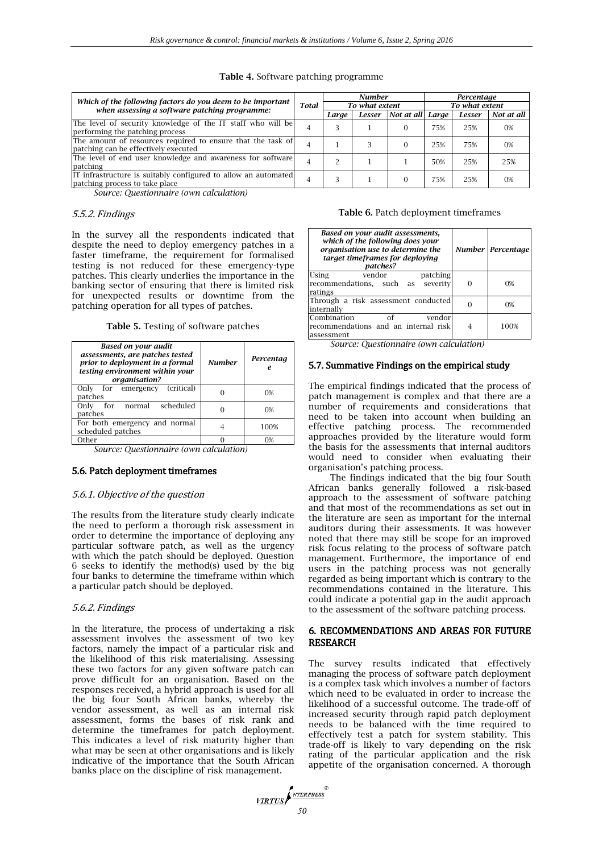|                                                                                                             |              |       | <b>Number</b>  |                         | Percentage     |        |            |  |
|-------------------------------------------------------------------------------------------------------------|--------------|-------|----------------|-------------------------|----------------|--------|------------|--|
| Which of the following factors do you deem to be important<br>when assessing a software patching programme: | <b>Total</b> |       | To what extent |                         | To what extent |        |            |  |
|                                                                                                             |              | Larae |                | Lesser Not at all Large |                | Lesser | Not at all |  |
| The level of security knowledge of the IT staff who will be<br>performing the patching process              |              |       |                | 0                       | 75%            | 25%    | 0%         |  |
| The amount of resources required to ensure that the task of<br>patching can be effectively executed         | 4            |       |                | $\Omega$                | 25%            | 75%    | 0%         |  |
| The level of end user knowledge and awareness for software<br>patching                                      |              |       |                |                         | 50%            | 25%    | 25%        |  |
| IT infrastructure is suitably configured to allow an automated<br>patching process to take place            | 4            |       |                | $\Omega$                | 75%            | 25%    | $0\%$      |  |

## **Table 4.** Software patching programme

*Source: Questionnaire (own calculation)*

#### 5.5.2. Findings

In the survey all the respondents indicated that despite the need to deploy emergency patches in a faster timeframe, the requirement for formalised testing is not reduced for these emergency-type patches. This clearly underlies the importance in the banking sector of ensuring that there is limited risk for unexpected results or downtime from the patching operation for all types of patches.

**Table 5.** Testing of software patches

| Based on your audit<br>assessments, are patches tested<br>prior to deployment in a formal<br>testing environment within your<br>organisation? | <b>Number</b> | Percentag<br>e |
|-----------------------------------------------------------------------------------------------------------------------------------------------|---------------|----------------|
| Only for emergency<br>(critical)<br>patches                                                                                                   |               | 0%             |
| for normal<br>scheduled<br>Only<br>patches                                                                                                    |               | 0%             |
| For both emergency and normal<br>scheduled patches                                                                                            |               | 100%           |
| Other                                                                                                                                         |               | $\Omega$ %     |

*Source: Questionnaire (own calculation)*

## 5.6. Patch deployment timeframes

#### 5.6.1. Objective of the question

The results from the literature study clearly indicate the need to perform a thorough risk assessment in order to determine the importance of deploying any particular software patch, as well as the urgency with which the patch should be deployed. Question 6 seeks to identify the method(s) used by the big four banks to determine the timeframe within which a particular patch should be deployed.

#### 5.6.2. Findings

In the literature, the process of undertaking a risk assessment involves the assessment of two key factors, namely the impact of a particular risk and the likelihood of this risk materialising. Assessing these two factors for any given software patch can prove difficult for an organisation. Based on the responses received, a hybrid approach is used for all the big four South African banks, whereby the vendor assessment, as well as an internal risk assessment, forms the bases of risk rank and determine the timeframes for patch deployment. This indicates a level of risk maturity higher than what may be seen at other organisations and is likely indicative of the importance that the South African banks place on the discipline of risk management.

#### **Table 6.** Patch deployment timeframes

| Based on your audit assessments,<br>which of the following does your<br>organisation use to determine the<br>target timeframes for deploying<br>patches? | Number Percentage |
|----------------------------------------------------------------------------------------------------------------------------------------------------------|-------------------|
| Using<br>vendor<br>patching<br>recommendations, such as severity<br>ratings                                                                              | 0%                |
| Through a risk assessment conducted<br>internally                                                                                                        | 0%                |
| Combination<br>Ωf<br>vendor<br>recommendations and an internal risk<br>assessment                                                                        | 100%              |

*Source: Questionnaire (own calculation)*

## 5.7. Summative Findings on the empirical study

The empirical findings indicated that the process of patch management is complex and that there are a number of requirements and considerations that need to be taken into account when building an effective patching process. The recommended approaches provided by the literature would form the basis for the assessments that internal auditors would need to consider when evaluating their organisation's patching process.

The findings indicated that the big four South African banks generally followed a risk-based approach to the assessment of software patching and that most of the recommendations as set out in the literature are seen as important for the internal auditors during their assessments. It was however noted that there may still be scope for an improved risk focus relating to the process of software patch management. Furthermore, the importance of end users in the patching process was not generally regarded as being important which is contrary to the recommendations contained in the literature. This could indicate a potential gap in the audit approach to the assessment of the software patching process.

#### 6. RECOMMENDATIONS AND AREAS FOR FUTURE RESEARCH

The survey results indicated that effectively managing the process of software patch deployment is a complex task which involves a number of factors which need to be evaluated in order to increase the likelihood of a successful outcome. The trade-off of increased security through rapid patch deployment needs to be balanced with the time required to effectively test a patch for system stability. This trade-off is likely to vary depending on the risk rating of the particular application and the risk appetite of the organisation concerned. A thorough